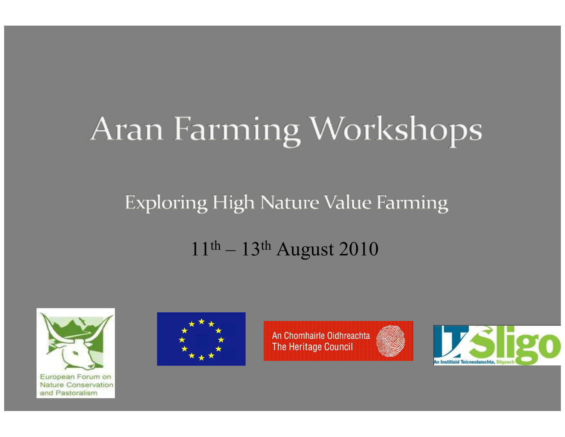# Aran Farming Workshops

#### **Exploring High Nature Value Farming**

#### $11<sup>th</sup> - 13<sup>th</sup>$  August 2010



European Forum on **Nature Conservation** and Pastoralism



An Chomhairle Oidhreachta **The Heritage Council** 



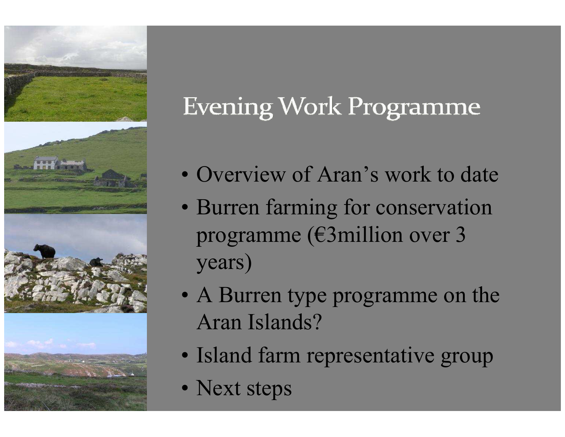

#### **Evening Work Programme**

- Overview of Aran's work to date
- Burren farming for conservation programme (€3million over 3 years)
- A Burren type programme on the Aran Islands?
- Island farm representative group
- Next steps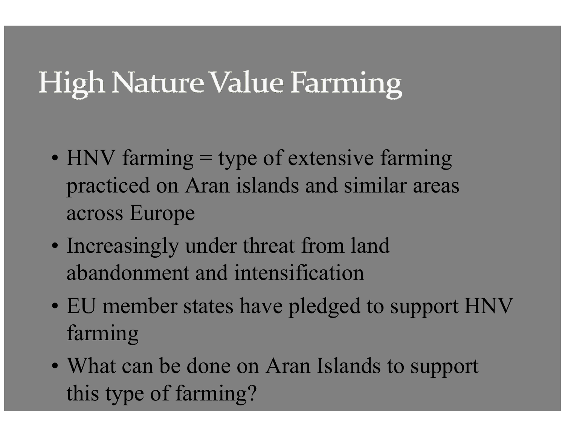## High Nature Value Farming

- HNV farming = type of extensive farming practiced on Aran islands and similar areas across Europe
- Increasingly under threat from land abandonment and intensification
- EU member states have pledged to support HNV farming
- What can be done on Aran Islands to support this type of farming?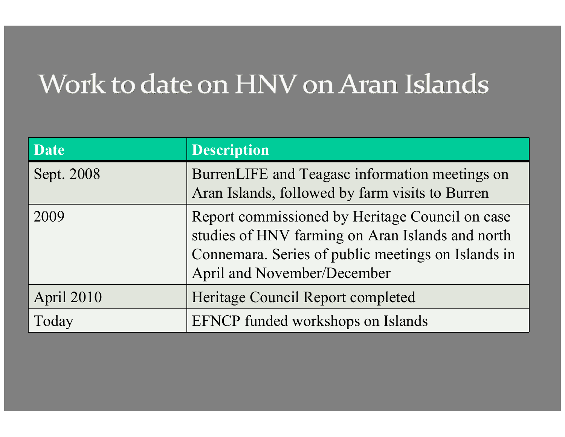#### Work to date on HNV on Aran Islands

| <b>Date</b> | <b>Description</b>                                                                                                                                                                       |
|-------------|------------------------------------------------------------------------------------------------------------------------------------------------------------------------------------------|
| Sept. 2008  | BurrenLIFE and Teagasc information meetings on<br>Aran Islands, followed by farm visits to Burren                                                                                        |
| 2009        | Report commissioned by Heritage Council on case<br>studies of HNV farming on Aran Islands and north<br>Connemara. Series of public meetings on Islands in<br>April and November/December |
| April 2010  | Heritage Council Report completed                                                                                                                                                        |
| Today       | EFNCP funded workshops on Islands                                                                                                                                                        |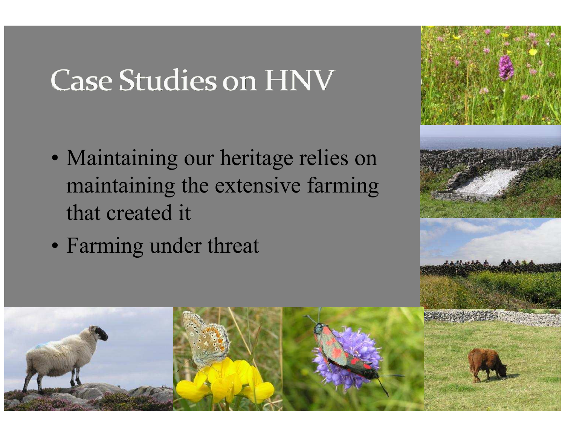#### **Case Studies on HNV**

- Maintaining our heritage relies on maintaining the extensive farming that created it
- Farming under threat

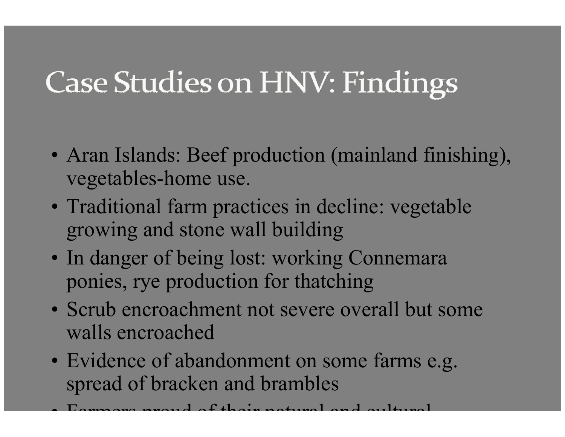## Case Studies on HNV: Findings

- Aran Islands: Beef production (mainland finishing),<br>weateblas hame use vegetables-home use.
- Traditional farm practices in decline: vegetable growing and stone wall building
- In danger of being lost: working Connemara ponies, rye production for thatching
- Scrub encroachment not severe overall but some walls encroached
- Evidence of abandonment on some farms e.g.<br>enroad of bracken and brambles spread of bracken and brambles

. Farmara proud of their natural and cultural

•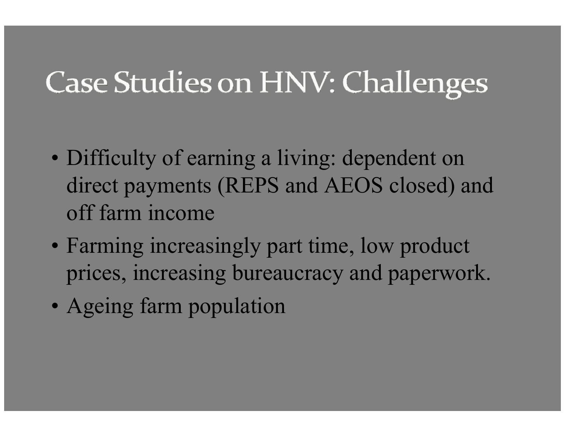## Case Studies on HNV: Challenges

- Difficulty of earning a living: dependent on direct payments (REPS and AEOS closed) and off farm income
- Farming increasingly part time, low product prices, increasing bureaucracy and paperwork.
- Ageing farm population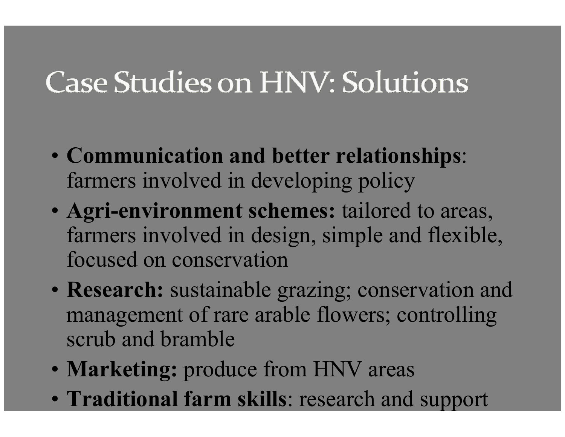## **Case Studies on HNV: Solutions**

- Communication and better relationships: farmers involved in developing policy
- Agri-environment schemes: tailored to areas, farmers involved in design, simple and flexible, focused on conservation
- Research: sustainable grazing; conservation and management of rare arable flowers; controlling scrub and bramble
- Marketing: produce from HNV areas
- Traditional farm skills: research and support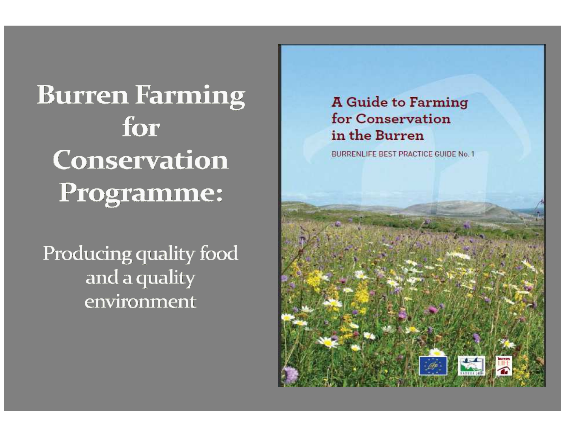### **Burren Farming** for Conservation Programme:

Producing quality food and a quality environment

**A Guide to Farming** for Conservation in the Burren

BURRENLIFE BEST PRACTICE GUIDE No. 1

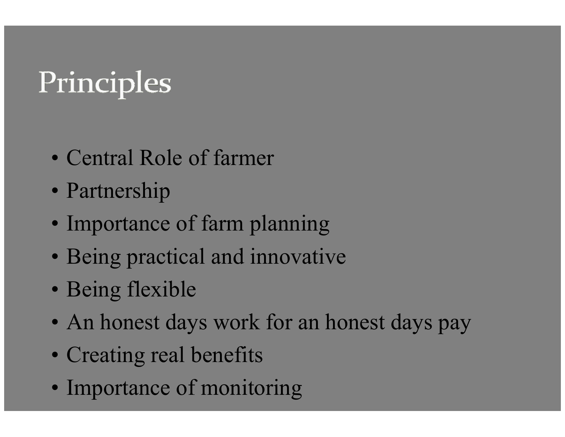## Principles

- Central Role of farmer
- Partnership
- Importance of farm planning
- Being practical and innovative
- Being flexible
- An honest days work for an honest days pay
- Creating real benefits
- Importance of monitoring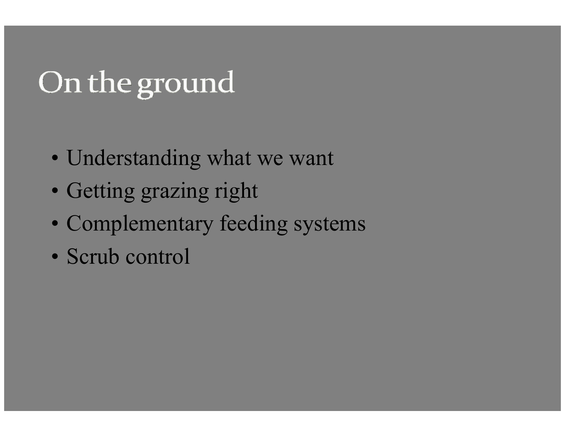## On the ground

- Understanding what we want
- Getting grazing right
- Complementary feeding systems
- Scrub control